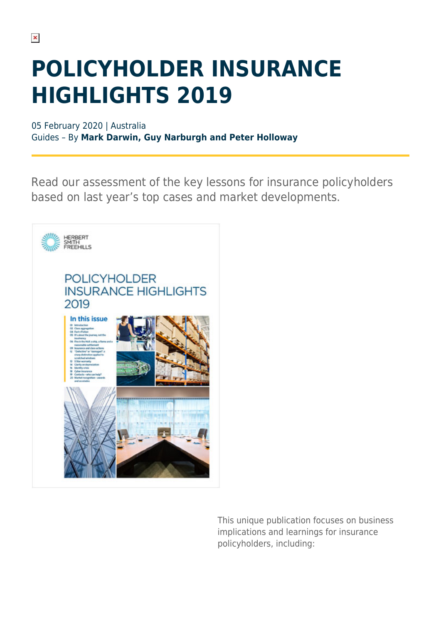## **POLICYHOLDER INSURANCE HIGHLIGHTS 2019**

05 February 2020 | Australia Guides – By **Mark Darwin, Guy Narburgh and Peter Holloway**

Read our assessment of the key lessons for insurance policyholders based on last year's top cases and market developments.



This unique publication focuses on business implications and learnings for insurance policyholders, including: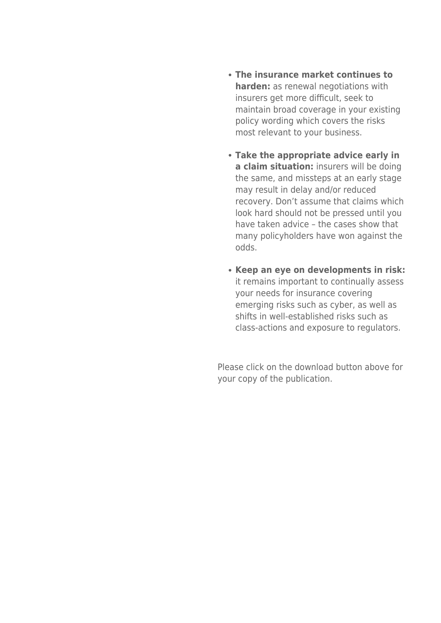- **The insurance market continues to harden:** as renewal negotiations with insurers get more difficult, seek to maintain broad coverage in your existing policy wording which covers the risks most relevant to your business.
- **Take the appropriate advice early in a claim situation:** insurers will be doing the same, and missteps at an early stage may result in delay and/or reduced recovery. Don't assume that claims which look hard should not be pressed until you have taken advice – the cases show that many policyholders have won against the odds.
- **Keep an eye on developments in risk:** it remains important to continually assess your needs for insurance covering emerging risks such as cyber, as well as shifts in well-established risks such as class-actions and exposure to regulators.

Please click on the download button above for your copy of the publication.